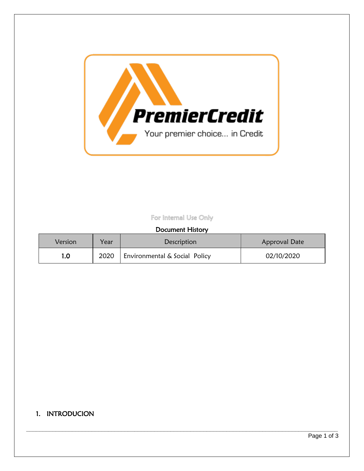

## For Internal Use Only

### Document History

| Version | Year | Description                   | Approval Date |
|---------|------|-------------------------------|---------------|
| 1.0     | 2020 | Environmental & Social Policy | 02/10/2020    |

**\_\_\_\_\_\_\_\_\_\_\_\_\_\_\_\_\_\_\_\_\_\_\_\_\_\_\_\_\_\_\_\_\_\_\_\_\_\_\_\_\_\_\_\_\_\_\_\_\_\_\_\_\_\_\_\_\_\_\_\_\_\_\_\_\_\_\_\_\_\_\_\_\_\_\_\_\_\_\_\_\_\_\_\_\_\_\_\_\_\_\_\_\_\_\_**

## 1. INTRODUCION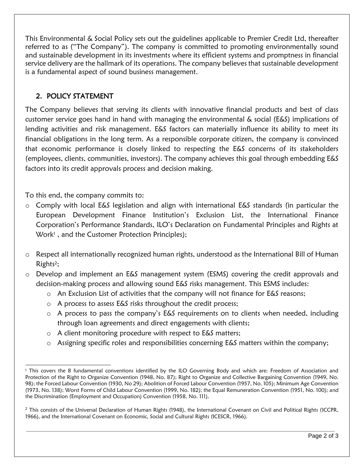This Environmental & Social Policy sets out the guidelines applicable to Premier Credit Ltd, thereafter referred to as ("The Company"). The company is committed to promoting environmentally sound and sustainable development in its investments where its efficient systems and promptness in financial service delivery are the hallmark of its operations. The company believes that sustainable development is a fundamental aspect of sound business management.

# 2. POLICY STATEMENT

The Company believes that serving its clients with innovative financial products and best of class customer service goes hand in hand with managing the environmental & social (E&S) implications of lending activities and risk management. E&S factors can materially influence its ability to meet its financial obligations in the long term. As a responsible corporate citizen, the company is convinced that economic performance is closely linked to respecting the E&S concerns of its stakeholders (employees, clients, communities, investors). The company achieves this goal through embedding E&S factors into its credit approvals process and decision making.

To this end, the company commits to:

- o Comply with local E&S legislation and align with international E&S standards (in particular the European Development Finance Institution's Exclusion List, the International Finance Corporation's Performance Standards, ILO's Declaration on Fundamental Principles and Rights at Work<sup>1</sup>, and the Customer Protection Principles);
- o Respect all internationally recognized human rights, understood as the International Bill of Human Rights<sup>2</sup>;
- o Develop and implement an E&S management system (ESMS) covering the credit approvals and decision-making process and allowing sound E&S risks management. This ESMS includes:
	- o An Exclusion List of activities that the company will not finance for E&S reasons;
	- o A process to assess E&S risks throughout the credit process;
	- o A process to pass the company's E&S requirements on to clients when needed, including through loan agreements and direct engagements with clients;
	- o A client monitoring procedure with respect to E&S matters;
	- o Assigning specific roles and responsibilities concerning E&S matters within the company;

**\_\_\_\_\_\_\_\_\_\_\_\_\_\_\_\_\_\_\_\_\_\_\_\_\_\_\_\_\_\_\_\_\_\_\_\_\_\_\_\_\_\_\_\_\_\_\_\_\_\_\_\_\_\_\_\_\_\_\_\_\_\_\_\_\_\_\_\_\_\_\_\_\_\_\_\_\_\_\_\_\_\_\_\_\_\_\_\_\_\_\_\_\_\_**

l <sup>1</sup> This covers the 8 fundamental conventions identified by the ILO Governing Body and which are: Freedom of Association and Protection of the Right to Organize Convention (1948, No. 87); Right to Organize and Collective Bargaining Convention (1949, No. 98); the Forced Labour Convention (1930, No 29); Abolition of Forced Labour Convention (1957, No. 105); Minimum Age Convention (1973, No. 138); Worst Forms of Child Labour Convention (1999, No. 182); the Equal Remuneration Convention (1951, No. 100); and the Discrimination (Employment and Occupation) Convention (1958, No. 111).

 $<sup>2</sup>$  This consists of the Universal Declaration of Human Rights (1948), the International Covenant on Civil and Political Rights (ICCPR,</sup> 1966), and the International Covenant on Economic, Social and Cultural Rights (ICESCR, 1966).